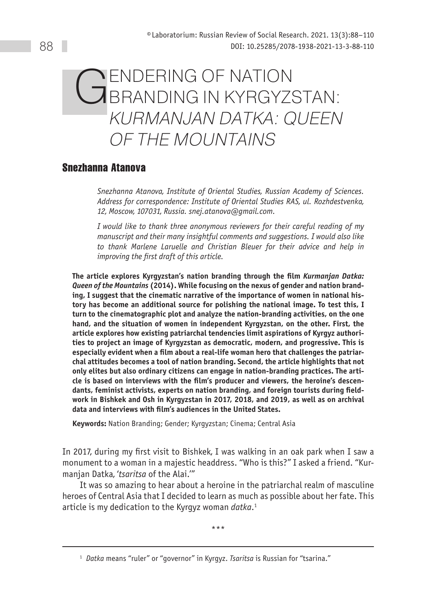# GENDERING OF NATION<br>GERANDING IN KYRGYZSTAN: KURMANJAN DATKA: QUEEN of the Mountains

# **Snezhanna Atanova**

*Snezhanna Atanova, Institute of Oriental Studies, Russian Academy of Sciences. Address for correspondence: Institute of Oriental Studies RAS, ul. Rozhdestvenka, 12, Moscow, 107031, Russia. snej.atanova@gmail.com.*

*I would like to thank three anonymous reviewers for their careful reading of my manuscript and their many insightful comments and suggestions. I would also like to thank Marlene Laruelle and Christian Bleuer for their advice and help in improving the first draft of this article.*

**The article explores Kyrgyzstan's nation branding through the film** *Kurmanjan Datka: Queen of the Mountains* **(2014). While focusing on the nexus of gender and nation branding, I suggest that the cinematic narrative of the importance of women in national history has become an additional source for polishing the national image. To test this, I turn to the cinematographic plot and analyze the nation-branding activities, on the one hand, and the situation of women in independent Kyrgyzstan, on the other. First, the article explores how existing patriarchal tendencies limit aspirations of Kyrgyz authorities to project an image of Kyrgyzstan as democratic, modern, and progressive. This is especially evident when a film about a real-life woman hero that challenges the patriarchal attitudes becomes a tool of nation branding. Second, the article highlights that not only elites but also ordinary citizens can engage in nation-branding practices. The article is based on interviews with the film's producer and viewers, the heroine's descendants, feminist activists, experts on nation branding, and foreign tourists during fieldwork in Bishkek and Osh in Kyrgyzstan in 2017, 2018, and 2019, as well as on archival data and interviews with film's audiences in the United States.**

**Keywords:** Nation Branding; Gender; Kyrgyzstan; Cinema; Central Asia

In 2017, during my first visit to Bishkek, I was walking in an oak park when I saw a monument to a woman in a majestic headdress. "Who is this?" I asked a friend. "Kurmanjan Datka, '*tsaritsa* of the Alai.'"

It was so amazing to hear about a heroine in the patriarchal realm of masculine heroes of Central Asia that I decided to learn as much as possible about her fate. This article is my dedication to the Kyrgyz woman *datka*. 1

\*\*\*

<sup>1</sup> *Datka* means "ruler" or "governor" in Kyrgyz. *Tsaritsa* is Russian for "tsarina."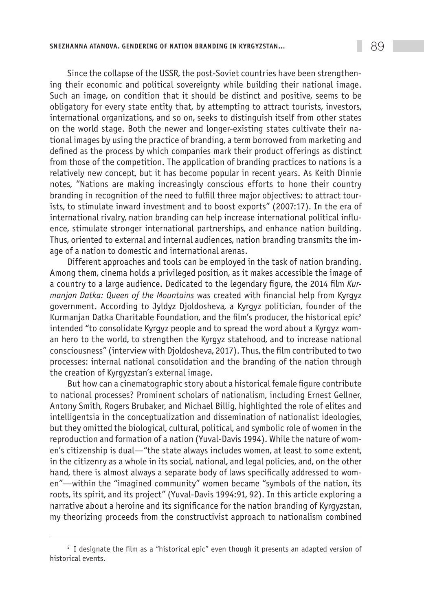Since the collapse of the USSR, the post-Soviet countries have been strengthening their economic and political sovereignty while building their national image. Such an image, on condition that it should be distinct and positive, seems to be obligatory for every state entity that, by attempting to attract tourists, investors, international organizations, and so on, seeks to distinguish itself from other states on the world stage. Both the newer and longer-existing states cultivate their national images by using the practice of branding, a term borrowed from marketing and defined as the process by which companies mark their product offerings as distinct from those of the competition. The application of branding practices to nations is a relatively new concept, but it has become popular in recent years. As Keith Dinnie notes, "Nations are making increasingly conscious efforts to hone their country branding in recognition of the need to fulfill three major objectives: to attract tourists, to stimulate inward investment and to boost exports" (2007:17). In the era of international rivalry, nation branding can help increase international political influence, stimulate stronger international partnerships, and enhance nation building. Thus, oriented to external and internal audiences, nation branding transmits the image of a nation to domestic and international arenas.

Different approaches and tools can be employed in the task of nation branding. Among them, cinema holds a privileged position, as it makes accessible the image of a country to a large audience. Dedicated to the legendary figure, the 2014 film *Kurmanjan Datka: Queen of the Mountains* was created with financial help from Kyrgyz government. According to Jyldyz Djoldosheva, a Kyrgyz politician, founder of the Kurmanjan Datka Charitable Foundation, and the film's producer, the historical epic<sup>2</sup> intended "to consolidate Kyrgyz people and to spread the word about a Kyrgyz woman hero to the world, to strengthen the Kyrgyz statehood, and to increase national consciousness" (interview with Djoldosheva, 2017). Thus, the film contributed to two processes: internal national consolidation and the branding of the nation through the creation of Kyrgyzstan's external image.

But how can a cinematographic story about a historical female figure contribute to national processes? Prominent scholars of nationalism, including Ernest Gellner, Antony Smith, Rogers Brubaker, and Michael Billig, highlighted the role of elites and intelligentsia in the conceptualization and dissemination of nationalist ideologies, but they omitted the biological, cultural, political, and symbolic role of women in the reproduction and formation of a nation (Yuval-Davis 1994). While the nature of women's citizenship is dual—"the state always includes women, at least to some extent, in the citizenry as a whole in its social, national, and legal policies, and, on the other hand, there is almost always a separate body of laws specifically addressed to women"—within the "imagined community" women became "symbols of the nation, its roots, its spirit, and its project" (Yuval-Davis 1994:91, 92). In this article exploring a narrative about a heroine and its significance for the nation branding of Kyrgyzstan, my theorizing proceeds from the constructivist approach to nationalism combined

<sup>&</sup>lt;sup>2</sup> I designate the film as a "historical epic" even though it presents an adapted version of historical events.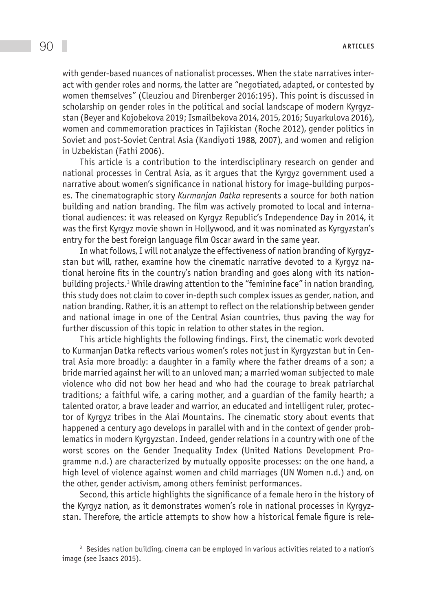with gender-based nuances of nationalist processes. When the state narratives interact with gender roles and norms, the latter are "negotiated, adapted, or contested by women themselves" (Cleuziou and Direnberger 2016:195). This point is discussed in scholarship on gender roles in the political and social landscape of modern Kyrgyzstan (Beyer and Kojobekova 2019; Ismailbekova 2014, 2015, 2016; Suyarkulova 2016), women and commemoration practices in Tajikistan (Roche 2012), gender politics in Soviet and post-Soviet Central Asia (Kandiyoti 1988, 2007), and women and religion in Uzbekistan (Fathi 2006).

This article is a contribution to the interdisciplinary research on gender and national processes in Central Asia, as it argues that the Kyrgyz government used a narrative about women's significance in national history for image-building purposes. The cinematographic story *Kurmanjan Datka* represents a source for both nation building and nation branding. The film was actively promoted to local and international audiences: it was released on Kyrgyz Republic's Independence Day in 2014, it was the first Kyrgyz movie shown in Hollywood, and it was nominated as Kyrgyzstan's entry for the best foreign language film Oscar award in the same year.

In what follows, I will not analyze the effectiveness of nation branding of Kyrgyzstan but will, rather, examine how the cinematic narrative devoted to a Kyrgyz national heroine fits in the country's nation branding and goes along with its nationbuilding projects.<sup>3</sup> While drawing attention to the "feminine face" in nation branding, this study does not claim to cover in-depth such complex issues as gender, nation, and nation branding. Rather, it is an attempt to reflect on the relationship between gender and national image in one of the Central Asian countries, thus paving the way for further discussion of this topic in relation to other states in the region.

This article highlights the following findings. First, the cinematic work devoted to Kurmanjan Datka reflects various women's roles not just in Kyrgyzstan but in Central Asia more broadly: a daughter in a family where the father dreams of a son; a bride married against her will to an unloved man; a married woman subjected to male violence who did not bow her head and who had the courage to break patriarchal traditions; a faithful wife, a caring mother, and a guardian of the family hearth; a talented orator, a brave leader and warrior, an educated and intelligent ruler, protector of Kyrgyz tribes in the Alai Mountains. The cinematic story about events that happened a century ago develops in parallel with and in the context of gender problematics in modern Kyrgyzstan. Indeed, gender relations in a country with one of the worst scores on the Gender Inequality Index (United Nations Development Programme n.d.) are characterized by mutually opposite processes: on the one hand, a high level of violence against women and child marriages (UN Women n.d.) and, on the other, gender activism, among others feminist performances.

Second, this article highlights the significance of a female hero in the history of the Kyrgyz nation, as it demonstrates women's role in national processes in Kyrgyzstan. Therefore, the article attempts to show how a historical female figure is rele-

<sup>&</sup>lt;sup>3</sup> Besides nation building, cinema can be employed in various activities related to a nation's image (see Isaacs 2015).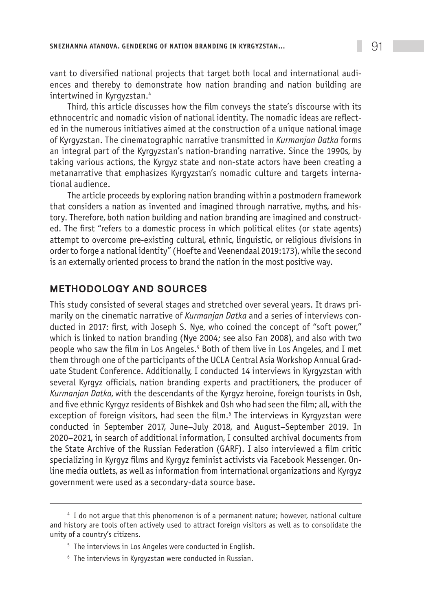vant to diversified national projects that target both local and international audiences and thereby to demonstrate how nation branding and nation building are intertwined in Kyrgyzstan.4

Third, this article discusses how the film conveys the state's discourse with its ethnocentric and nomadic vision of national identity. The nomadic ideas are reflected in the numerous initiatives aimed at the construction of a unique national image of Kyrgyzstan. The cinematographic narrative transmitted in *Kurmanjan Datka* forms an integral part of the Kyrgyzstan's nation-branding narrative. Since the 1990s, by taking various actions, the Kyrgyz state and non-state actors have been creating a metanarrative that emphasizes Kyrgyzstan's nomadic culture and targets international audience.

The article proceeds by exploring nation branding within a postmodern framework that considers a nation as invented and imagined through narrative, myths, and history. Therefore, both nation building and nation branding are imagined and constructed. The first "refers to a domestic process in which political elites (or state agents) attempt to overcome pre-existing cultural, ethnic, linguistic, or religious divisions in order to forge a national identity" (Hoefte and Veenendaal 2019:173), while the second is an externally oriented process to brand the nation in the most positive way.

## Methodology and sources

This study consisted of several stages and stretched over several years. It draws primarily on the cinematic narrative of *Kurmanjan Datka* and a series of interviews conducted in 2017: first, with Joseph S. Nye, who coined the concept of "soft power," which is linked to nation branding (Nye 2004; see also Fan 2008), and also with two people who saw the film in Los Angeles.<sup>5</sup> Both of them live in Los Angeles, and I met them through one of the participants of the UCLA Central Asia Workshop Annual Graduate Student Conference. Additionally, I conducted 14 interviews in Kyrgyzstan with several Kyrgyz officials, nation branding experts and practitioners, the producer of *Kurmanjan Datka*, with the descendants of the Kyrgyz heroine, foreign tourists in Osh, and five ethnic Kyrgyz residents of Bishkek and Osh who had seen the film; all, with the exception of foreign visitors, had seen the film.<sup>6</sup> The interviews in Kyrgyzstan were conducted in September 2017, June–July 2018, and August–September 2019. In 2020–2021, in search of additional information, I consulted archival documents from the State Archive of the Russian Federation (GARF). I also interviewed a film critic specializing in Kyrgyz films and Kyrgyz feminist activists via Facebook Messenger. Online media outlets, as well as information from international organizations and Kyrgyz government were used as a secondary-data source base.

<sup>4</sup> I do not argue that this phenomenon is of a permanent nature; however, national culture and history are tools often actively used to attract foreign visitors as well as to consolidate the unity of a country's citizens.

<sup>&</sup>lt;sup>5</sup> The interviews in Los Angeles were conducted in English.

<sup>6</sup> The interviews in Kyrgyzstan were conducted in Russian.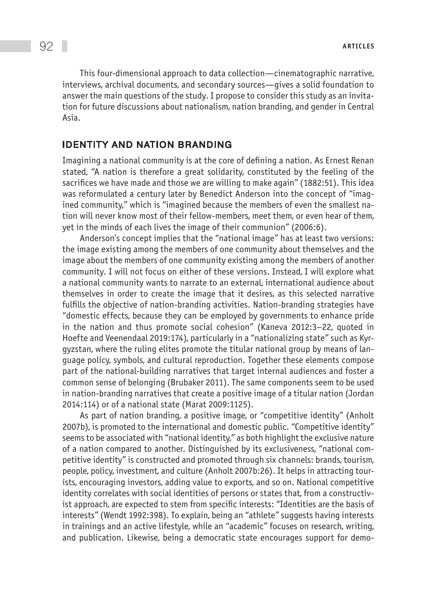This four-dimensional approach to data collection—cinematographic narrative, interviews, archival documents, and secondary sources—gives a solid foundation to answer the main questions of the study. I propose to consider this study as an invitation for future discussions about nationalism, nation branding, and gender in Central Asia.

#### Identity and Nation branding

Imagining a national community is at the core of defining a nation. As Ernest Renan stated, "A nation is therefore a great solidarity, constituted by the feeling of the sacrifices we have made and those we are willing to make again" (1882:51). This idea was reformulated a century later by Benedict Anderson into the concept of "imagined community," which is "imagined because the members of even the smallest nation will never know most of their fellow-members, meet them, or even hear of them, yet in the minds of each lives the image of their communion" (2006:6).

Anderson's concept implies that the "national image" has at least two versions: the image existing among the members of one community about themselves and the image about the members of one community existing among the members of another community. I will not focus on either of these versions. Instead, I will explore what a national community wants to narrate to an external, international audience about themselves in order to create the image that it desires, as this selected narrative fulfills the objective of nation-branding activities. Nation-branding strategies have "domestic effects, because they can be employed by governments to enhance pride in the nation and thus promote social cohesion" (Kaneva 2012:3–22, quoted in Hoefte and Veenendaal 2019:174), particularly in a "nationalizing state" such as Kyrgyzstan, where the ruling elites promote the titular national group by means of language policy, symbols, and cultural reproduction. Together these elements compose part of the national-building narratives that target internal audiences and foster a common sense of belonging (Brubaker 2011). The same components seem to be used in nation-branding narratives that create a positive image of a titular nation (Jordan 2014:114) or of a national state (Marat 2009:1125).

As part of nation branding, a positive image, or "competitive identity" (Anholt 2007b), is promoted to the international and domestic public. "Competitive identity" seems to be associated with "national identity," as both highlight the exclusive nature of a nation compared to another. Distinguished by its exclusiveness, "national competitive identity" is constructed and promoted through six channels: brands, tourism, people, policy, investment, and culture (Anholt 2007b:26). It helps in attracting tourists, encouraging investors, adding value to exports, and so on. National competitive identity correlates with social identities of persons or states that, from a constructivist approach, are expected to stem from specific interests: "Identities are the basis of interests" (Wendt 1992:398). To explain, being an "athlete" suggests having interests in trainings and an active lifestyle, while an "academic" focuses on research, writing, and publication. Likewise, being a democratic state encourages support for demo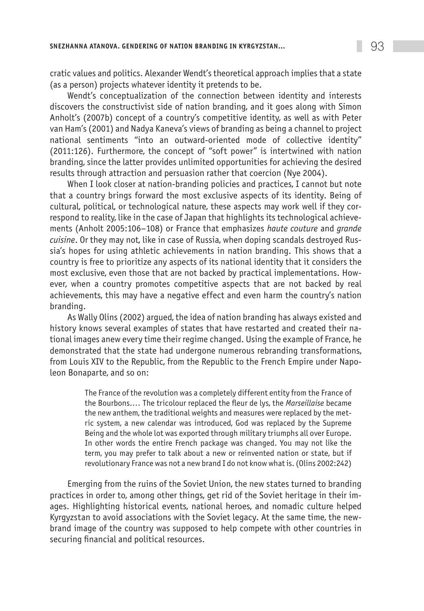cratic values and politics. Alexander Wendt's theoretical approach implies that a state (as a person) projects whatever identity it pretends to be.

Wendt's conceptualization of the connection between identity and interests discovers the constructivist side of nation branding, and it goes along with Simon Anholt's (2007b) concept of a country's competitive identity, as well as with Peter van Ham's (2001) and Nadya Kaneva's views of branding as being a channel to project national sentiments "into an outward-oriented mode of collective identity" (2011:126). Furthermore, the concept of "soft power" is intertwined with nation branding, since the latter provides unlimited opportunities for achieving the desired results through attraction and persuasion rather that coercion (Nye 2004).

When I look closer at nation-branding policies and practices, I cannot but note that a country brings forward the most exclusive aspects of its identity. Being of cultural, political, or technological nature, these aspects may work well if they correspond to reality, like in the case of Japan that highlights its technological achievements (Anholt 2005:106–108) or France that emphasizes *haute couture* and *grande cuisine*. Or they may not, like in case of Russia, when doping scandals destroyed Russia's hopes for using athletic achievements in nation branding. This shows that a country is free to prioritize any aspects of its national identity that it considers the most exclusive, even those that are not backed by practical implementations. However, when a country promotes competitive aspects that are not backed by real achievements, this may have a negative effect and even harm the country's nation branding.

As Wally Olins (2002) argued, the idea of nation branding has always existed and history knows several examples of states that have restarted and created their national images anew every time their regime changed. Using the example of France, he demonstrated that the state had undergone numerous rebranding transformations, from Louis XIV to the Republic, from the Republic to the French Empire under Napoleon Bonaparte, and so on:

> The France of the revolution was a completely different entity from the France of the Bourbons.… The tricolour replaced the fleur de lys, the *Marseillaise* became the new anthem, the traditional weights and measures were replaced by the metric system, a new calendar was introduced, God was replaced by the Supreme Being and the whole lot was exported through military triumphs all over Europe. In other words the entire French package was changed. You may not like the term, you may prefer to talk about a new or reinvented nation or state, but if revolutionary France was not a new brand I do not know what is. (Olins 2002:242)

Emerging from the ruins of the Soviet Union, the new states turned to branding practices in order to, among other things, get rid of the Soviet heritage in their images. Highlighting historical events, national heroes, and nomadic culture helped Kyrgyzstan to avoid associations with the Soviet legacy. At the same time, the newbrand image of the country was supposed to help compete with other countries in securing financial and political resources.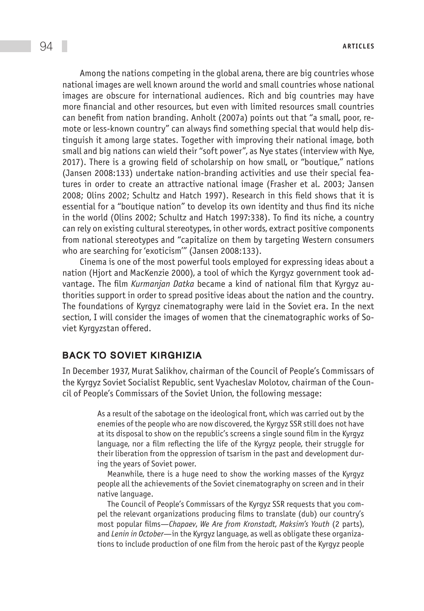Among the nations competing in the global arena, there are big countries whose national images are well known around the world and small countries whose national images are obscure for international audiences. Rich and big countries may have more financial and other resources, but even with limited resources small countries can benefit from nation branding. Anholt (2007a) points out that "a small, poor, remote or less-known country" can always find something special that would help distinguish it among large states. Together with improving their national image, both small and big nations can wield their "soft power", as Nye states (interview with Nye, 2017). There is a growing field of scholarship on how small, or "boutique," nations (Jansen 2008:133) undertake nation-branding activities and use their special features in order to create an attractive national image (Frasher et al. 2003; Jansen 2008; Olins 2002; Schultz and Hatch 1997). Research in this field shows that it is essential for a "boutique nation" to develop its own identity and thus find its niche in the world (Olins 2002; Schultz and Hatch 1997:338). To find its niche, a country can rely on existing cultural stereotypes, in other words, extract positive components from national stereotypes and "capitalize on them by targeting Western consumers who are searching for 'exoticism'" (Jansen 2008:133).

Cinema is one of the most powerful tools employed for expressing ideas about a nation (Hjort and MacKenzie 2000), a tool of which the Kyrgyz government took advantage. The film *Kurmanjan Datka* became a kind of national film that Kyrgyz authorities support in order to spread positive ideas about the nation and the country. The foundations of Kyrgyz cinematography were laid in the Soviet era. In the next section, I will consider the images of women that the cinematographic works of Soviet Kyrgyzstan offered.

#### Back to Soviet Kirghizia

In December 1937, Murat Salikhov, chairman of the Council of People's Commissars of the Kyrgyz Soviet Socialist Republic, sent Vyacheslav Molotov, chairman of the Council of People's Commissars of the Soviet Union, the following message:

> As a result of the sabotage on the ideological front, which was carried out by the enemies of the people who are now discovered, the Kyrgyz SSR still does not have at its disposal to show on the republic's screens a single sound film in the Kyrgyz language, nor a film reflecting the life of the Kyrgyz people, their struggle for their liberation from the oppression of tsarism in the past and development during the years of Soviet power.

> Meanwhile, there is a huge need to show the working masses of the Kyrgyz people all the achievements of the Soviet cinematography on screen and in their native language.

> The Council of People's Commissars of the Kyrgyz SSR requests that you compel the relevant organizations producing films to translate (dub) our country's most popular films—*Chapaev*, *We Are from Kronstadt*, *Maksim's Youth* (2 parts), and *Lenin in October*—in the Kyrgyz language, as well as obligate these organizations to include production of one film from the heroic past of the Kyrgyz people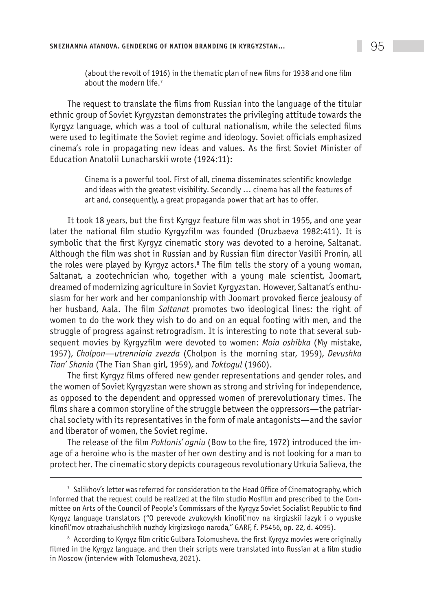(about the revolt of 1916) in the thematic plan of new films for 1938 and one film about the modern life.<sup>7</sup>

The request to translate the films from Russian into the language of the titular ethnic group of Soviet Kyrgyzstan demonstrates the privileging attitude towards the Kyrgyz language, which was a tool of cultural nationalism, while the selected films were used to legitimate the Soviet regime and ideology. Soviet officials emphasized cinema's role in propagating new ideas and values. As the first Soviet Minister of Education Anatolii Lunacharskii wrote (1924:11):

> Cinema is a powerful tool. First of all, cinema disseminates scientific knowledge and ideas with the greatest visibility. Secondly … cinema has all the features of art and, consequently, a great propaganda power that art has to offer.

It took 18 years, but the first Kyrgyz feature film was shot in 1955, and one year later the national film studio Kyrgyzfilm was founded (Oruzbaeva 1982:411). It is symbolic that the first Kyrgyz cinematic story was devoted to a heroine, Saltanat. Although the film was shot in Russian and by Russian film director Vasilii Pronin, all the roles were played by Kyrgyz actors.<sup>8</sup> The film tells the story of a young woman, Saltanat, a zootechnician who, together with a young male scientist, Joomart, dreamed of modernizing agriculture in Soviet Kyrgyzstan. However, Saltanat's enthusiasm for her work and her companionship with Joomart provoked fierce jealousy of her husband, Aala. The film *Saltanat* promotes two ideological lines: the right of women to do the work they wish to do and on an equal footing with men, and the struggle of progress against retrogradism. It is interesting to note that several subsequent movies by Kyrgyzfilm were devoted to women: *Moia oshibka* (My mistake, 1957), *Cholpon—utrenniaia zvezda* (Cholpon is the morning star, 1959), *Devushka Tian' Shania* (The Tian Shan girl, 1959), and *Toktogul* (1960).

The first Kyrgyz films offered new gender representations and gender roles, and the women of Soviet Kyrgyzstan were shown as strong and striving for independence, as opposed to the dependent and oppressed women of prerevolutionary times. The films share a common storyline of the struggle between the oppressors—the patriarchal society with its representatives in the form of male antagonists—and the savior and liberator of women, the Soviet regime.

The release of the film *Poklonis' ogniu* (Bow to the fire, 1972) introduced the image of a heroine who is the master of her own destiny and is not looking for a man to protect her. The cinematic story depicts courageous revolutionary Urkuia Salieva, the

 $7$  Salikhov's letter was referred for consideration to the Head Office of Cinematography, which informed that the request could be realized at the film studio Mosfilm and prescribed to the Committee on Arts of the Council of People's Commissars of the Kyrgyz Soviet Socialist Republic to find Kyrgyz language translators ("O perevode zvukovykh kinofil'mov na kirgizskii iazyk i o vypuske kinofil'mov otrazhaiushchikh nuzhdy kirgizskogo naroda," GARF, f. P5456, op. 22, d. 4095).

<sup>&</sup>lt;sup>8</sup> According to Kyrgyz film critic Gulbara Tolomusheva, the first Kyrgyz movies were originally filmed in the Kyrgyz language, and then their scripts were translated into Russian at a film studio in Moscow (interview with Tolomusheva, 2021).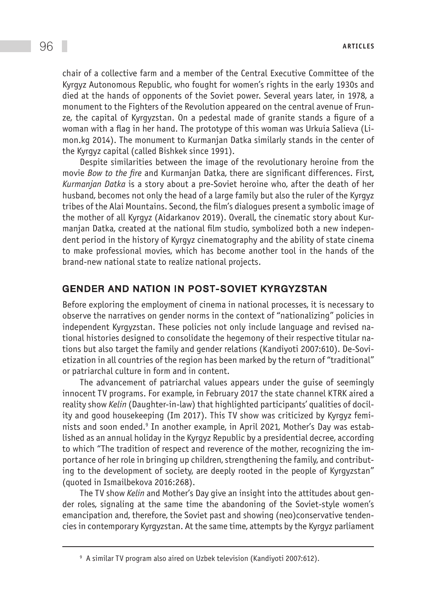chair of a collective farm and a member of the Central Executive Committee of the Kyrgyz Autonomous Republic, who fought for women's rights in the early 1930s and died at the hands of opponents of the Soviet power. Several years later, in 1978, a monument to the Fighters of the Revolution appeared on the central avenue of Frunze, the capital of Kyrgyzstan. On a pedestal made of granite stands a figure of a woman with a flag in her hand. The prototype of this woman was Urkuia Salieva (Limon.kg 2014). The monument to Kurmanjan Datka similarly stands in the center of the Kyrgyz capital (called Bishkek since 1991).

Despite similarities between the image of the revolutionary heroine from the movie *Bow to the fire* and Kurmanjan Datka, there are significant differences. First, *Kurmanjan Datka* is a story about a pre-Soviet heroine who, after the death of her husband, becomes not only the head of a large family but also the ruler of the Kyrgyz tribes of the Alai Mountains. Second, the film's dialogues present a symbolic image of the mother of all Kyrgyz (Aidarkanov 2019). Overall, the cinematic story about Kurmanjan Datka, created at the national film studio, symbolized both a new independent period in the history of Kyrgyz cinematography and the ability of state cinema to make professional movies, which has become another tool in the hands of the brand-new national state to realize national projects.

#### Gender and nation in post-Soviet Kyrgyzstan

Before exploring the employment of cinema in national processes, it is necessary to observe the narratives on gender norms in the context of "nationalizing" policies in independent Kyrgyzstan. These policies not only include language and revised national histories designed to consolidate the hegemony of their respective titular nations but also target the family and gender relations (Kandiyoti 2007:610). De-Sovietization in all countries of the region has been marked by the return of "traditional" or patriarchal culture in form and in content.

The advancement of patriarchal values appears under the guise of seemingly innocent TV programs. For example, in February 2017 the state channel KTRK aired a reality show *Kelin* (Daughter-in-law) that highlighted participants' qualities of docility and good housekeeping (Im 2017). This TV show was criticized by Kyrgyz feminists and soon ended.<sup>9</sup> In another example, in April 2021, Mother's Day was established as an annual holiday in the Kyrgyz Republic by a presidential decree, according to which "The tradition of respect and reverence of the mother, recognizing the importance of her role in bringing up children, strengthening the family, and contributing to the development of society, are deeply rooted in the people of Kyrgyzstan" (quoted in Ismailbekova 2016:268).

The TV show *Kelin* and Mother's Day give an insight into the attitudes about gender roles, signaling at the same time the abandoning of the Soviet-style women's emancipation and, therefore, the Soviet past and showing (neo)conservative tendencies in contemporary Kyrgyzstan. At the same time, attempts by the Kyrgyz parliament

<sup>&</sup>lt;sup>9</sup> A similar TV program also aired on Uzbek television (Kandiyoti 2007:612).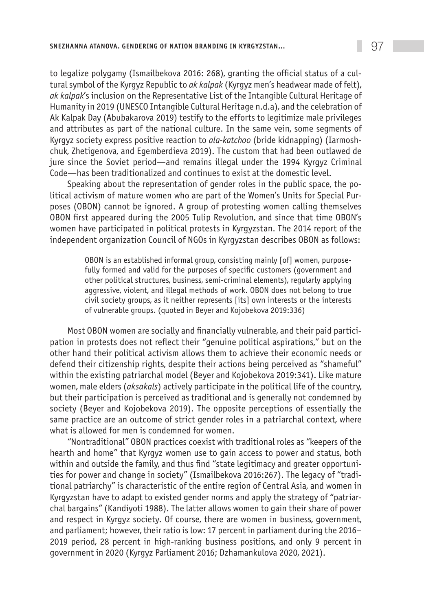to legalize polygamy (Ismailbekova 2016: 268), granting the official status of a cultural symbol of the Kyrgyz Republic to *ak kalpak* (Kyrgyz men's headwear made of felt), *ak kalpak*'s inclusion on the Representative List of the Intangible Cultural Heritage of Humanity in 2019 (UNESCO Intangible Cultural Heritage n.d.a), and the celebration of Ak Kalpak Day (Abubakarova 2019) testify to the efforts to legitimize male privileges and attributes as part of the national culture. In the same vein, some segments of Kyrgyz society express positive reaction to *ala-katchoo* (bride kidnapping) (Iarmoshchuk, Zhetigenova, and Egemberdieva 2019). The custom that had been outlawed de jure since the Soviet period—and remains illegal under the 1994 Kyrgyz Criminal Code—has been traditionalized and continues to exist at the domestic level.

Speaking about the representation of gender roles in the public space, the political activism of mature women who are part of the Women's Units for Special Purposes (OBON) cannot be ignored. A group of protesting women calling themselves OBON first appeared during the 2005 Tulip Revolution, and since that time OBON's women have participated in political protests in Kyrgyzstan. The 2014 report of the independent organization Council of NGOs in Kyrgyzstan describes OBON as follows:

> OBON is an established informal group, consisting mainly [of] women, purposefully formed and valid for the purposes of specific customers (government and other political structures, business, semi-criminal elements), regularly applying aggressive, violent, and illegal methods of work. OBON does not belong to true civil society groups, as it neither represents [its] own interests or the interests of vulnerable groups. (quoted in Beyer and Kojobekova 2019:336)

Most OBON women are socially and financially vulnerable, and their paid participation in protests does not reflect their "genuine political aspirations," but on the other hand their political activism allows them to achieve their economic needs or defend their citizenship rights, despite their actions being perceived as "shameful" within the existing patriarchal model (Beyer and Kojobekova 2019:341). Like mature women, male elders (*aksakals*) actively participate in the political life of the country, but their participation is perceived as traditional and is generally not condemned by society (Beyer and Kojobekova 2019). The opposite perceptions of essentially the same practice are an outcome of strict gender roles in a patriarchal context, where what is allowed for men is condemned for women.

"Nontraditional" OBON practices coexist with traditional roles as "keepers of the hearth and home" that Kyrgyz women use to gain access to power and status, both within and outside the family, and thus find "state legitimacy and greater opportunities for power and change in society" (Ismailbekova 2016:267). The legacy of "traditional patriarchy" is characteristic of the entire region of Central Asia, and women in Kyrgyzstan have to adapt to existed gender norms and apply the strategy of "patriarchal bargains" (Kandiyoti 1988). The latter allows women to gain their share of power and respect in Kyrgyz society. Of course, there are women in business, government, and parliament; however, their ratio is low: 17 percent in parliament during the 2016– 2019 period, 28 percent in high-ranking business positions, and only 9 percent in government in 2020 (Kyrgyz Parliament 2016; Dzhamankulova 2020, 2021).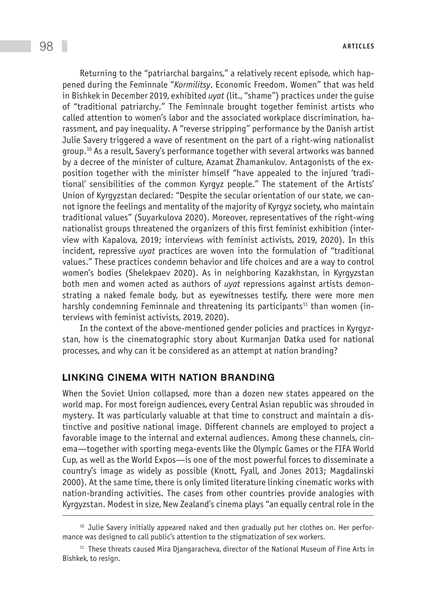Returning to the "patriarchal bargains," a relatively recent episode, which happened during the Feminnale "*Kormilitsy*. Economic Freedom. Women" that was held in Bishkek in December 2019, exhibited *uyat* (lit., "shame") practices under the guise of "traditional patriarchy." The Feminnale brought together feminist artists who called attention to women's labor and the associated workplace discrimination, harassment, and pay inequality. A "reverse stripping" performance by the Danish artist Julie Savery triggered a wave of resentment on the part of a right-wing nationalist group.10 As a result, Savery's performance together with several artworks was banned by a decree of the minister of culture, Azamat Zhamankulov. Antagonists of the exposition together with the minister himself "have appealed to the injured 'traditional' sensibilities of the common Kyrgyz people." The statement of the Artists' Union of Kyrgyzstan declared: "Despite the secular orientation of our state, we cannot ignore the feelings and mentality of the majority of Kyrgyz society, who maintain traditional values" (Suyarkulova 2020). Moreover, representatives of the right-wing nationalist groups threatened the organizers of this first feminist exhibition (interview with Kapalova, 2019; interviews with feminist activists, 2019, 2020). In this incident, repressive *uyat* practices are woven into the formulation of "traditional values." These practices condemn behavior and life choices and are a way to control women's bodies (Shelekpaev 2020). As in neighboring Kazakhstan, in Kyrgyzstan both men and women acted as authors of *uyat* repressions against artists demonstrating a naked female body, but as eyewitnesses testify, there were more men harshly condemning Feminnale and threatening its participants<sup>11</sup> than women (interviews with feminist activists, 2019, 2020).

In the context of the above-mentioned gender policies and practices in Kyrgyzstan, how is the cinematographic story about Kurmanjan Datka used for national processes, and why can it be considered as an attempt at nation branding?

#### Linking cinema with nation branding

When the Soviet Union collapsed, more than a dozen new states appeared on the world map. For most foreign audiences, every Central Asian republic was shrouded in mystery. It was particularly valuable at that time to construct and maintain a distinctive and positive national image. Different channels are employed to project a favorable image to the internal and external audiences. Among these channels, cinema—together with sporting mega-events like the Olympic Games or the FIFA World Cup, as well as the World Expos—is one of the most powerful forces to disseminate a country's image as widely as possible (Knott, Fyall, and Jones 2013; Magdalinski 2000). At the same time, there is only limited literature linking cinematic works with nation-branding activities. The cases from other countries provide analogies with Kyrgyzstan. Modest in size, New Zealand's cinema plays "an equally central role in the

 $10$  Julie Savery initially appeared naked and then gradually put her clothes on. Her performance was designed to call public's attention to the stigmatization of sex workers.

<sup>&</sup>lt;sup>11</sup> These threats caused Mira Djangaracheva, director of the National Museum of Fine Arts in Bishkek, to resign.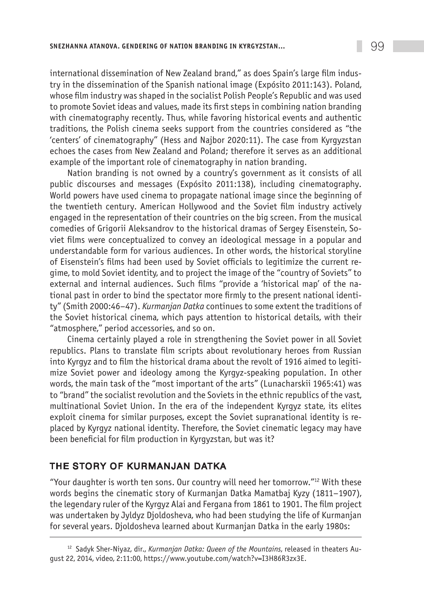international dissemination of New Zealand brand," as does Spain's large film industry in the dissemination of the Spanish national image (Expósito 2011:143). Poland, whose film industry was shaped in the socialist Polish People's Republic and was used to promote Soviet ideas and values, made its first steps in combining nation branding with cinematography recently. Thus, while favoring historical events and authentic traditions, the Polish cinema seeks support from the countries considered as "the 'centers' of cinematography" (Hess and Najbor 2020:11). The case from Kyrgyzstan echoes the cases from New Zealand and Poland; therefore it serves as an additional example of the important role of cinematography in nation branding.

Nation branding is not owned by a country's government as it consists of all public discourses and messages (Expósito 2011:138), including cinematography. World powers have used cinema to propagate national image since the beginning of the twentieth century. American Hollywood and the Soviet film industry actively engaged in the representation of their countries on the big screen. From the musical comedies of Grigorii Aleksandrov to the historical dramas of Sergey Eisenstein, Soviet films were conceptualized to convey an ideological message in a popular and understandable form for various audiences. In other words, the historical storyline of Eisenstein's films had been used by Soviet officials to legitimize the current regime, to mold Soviet identity, and to project the image of the "country of Soviets" to external and internal audiences. Such films "provide a 'historical map' of the national past in order to bind the spectator more firmly to the present national identity" (Smith 2000:46–47). *Kurmanjan Datka* continues to some extent the traditions of the Soviet historical cinema, which pays attention to historical details, with their "atmosphere," period accessories, and so on.

Cinema certainly played a role in strengthening the Soviet power in all Soviet republics. Plans to translate film scripts about revolutionary heroes from Russian into Kyrgyz and to film the historical drama about the revolt of 1916 aimed to legitimize Soviet power and ideology among the Kyrgyz-speaking population. In other words, the main task of the "most important of the arts" (Lunacharskii 1965:41) was to "brand" the socialist revolution and the Soviets in the ethnic republics of the vast, multinational Soviet Union. In the era of the independent Kyrgyz state, its elites exploit cinema for similar purposes, except the Soviet supranational identity is replaced by Kyrgyz national identity. Therefore, the Soviet cinematic legacy may have been beneficial for film production in Kyrgyzstan, but was it?

## The story of Kurmanjan Datka

"Your daughter is worth ten sons. Our country will need her tomorrow." $^{12}$  With these words begins the cinematic story of Kurmanjan Datka Mamatbaj Kyzy (1811–1907), the legendary ruler of the Kyrgyz Alai and Fergana from 1861 to 1901. The film project was undertaken by Jyldyz Djoldosheva, who had been studying the life of Kurmanjan for several years. Djoldosheva learned about Kurmanjan Datka in the early 1980s:

<sup>12</sup> Sadyk Sher-Niyaz, dir., *Kurmanjan Datka: Queen of the Mountains*, released in theaters August 22, 2014, video, 2:11:00, https://www.youtube.com/watch?v=I3H86R3zx3E.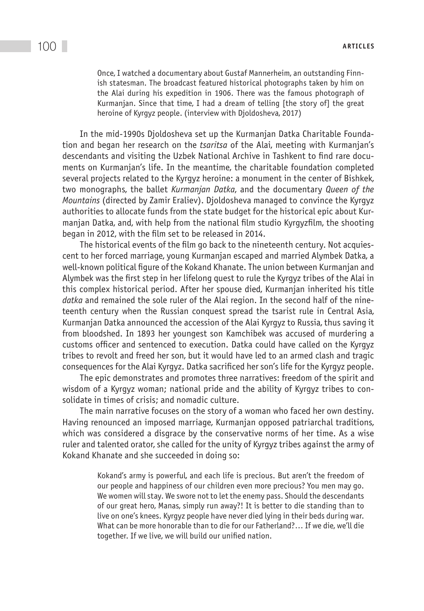Once, I watched a documentary about Gustaf Mannerheim, an outstanding Finnish statesman. The broadcast featured historical photographs taken by him on the Alai during his expedition in 1906. There was the famous photograph of Kurmanjan. Since that time, I had a dream of telling [the story of] the great heroine of Kyrgyz people. (interview with Djoldosheva, 2017)

In the mid-1990s Djoldosheva set up the Kurmanjan Datka Charitable Foundation and began her research on the *tsaritsa* of the Alai, meeting with Kurmanjan's descendants and visiting the Uzbek National Archive in Tashkent to find rare documents on Kurmanjan's life. In the meantime, the charitable foundation completed several projects related to the Kyrgyz heroine: a monument in the center of Bishkek, two monographs, the ballet *Kurmanjan Datka*, and the documentary *Queen of the Mountains* (directed by Zamir Eraliev). Djoldosheva managed to convince the Kyrgyz authorities to allocate funds from the state budget for the historical epic about Kurmanjan Datka, and, with help from the national film studio Kyrgyzfilm, the shooting began in 2012, with the film set to be released in 2014.

The historical events of the film go back to the nineteenth century. Not acquiescent to her forced marriage, young Kurmanjan escaped and married Alymbek Datka, a well-known political figure of the Kokand Khanate. The union between Kurmanjan and Alymbek was the first step in her lifelong quest to rule the Kyrgyz tribes of the Alai in this complex historical period. After her spouse died, Kurmanjan inherited his title *datka* and remained the sole ruler of the Alai region. In the second half of the nineteenth century when the Russian conquest spread the tsarist rule in Central Asia, Kurmanjan Datka announced the accession of the Alai Kyrgyz to Russia, thus saving it from bloodshed. In 1893 her youngest son Kamchibek was accused of murdering a customs officer and sentenced to execution. Datka could have called on the Kyrgyz tribes to revolt and freed her son, but it would have led to an armed clash and tragic consequences for the Alai Kyrgyz. Datka sacrificed her son's life for the Kyrgyz people.

The epic demonstrates and promotes three narratives: freedom of the spirit and wisdom of a Kyrgyz woman; national pride and the ability of Kyrgyz tribes to consolidate in times of crisis; and nomadic culture.

The main narrative focuses on the story of a woman who faced her own destiny. Having renounced an imposed marriage, Kurmanjan opposed patriarchal traditions, which was considered a disgrace by the conservative norms of her time. As a wise ruler and talented orator, she called for the unity of Kyrgyz tribes against the army of Kokand Khanate and she succeeded in doing so:

> Kokand's army is powerful, and each life is precious. But aren't the freedom of our people and happiness of our children even more precious? You men may go. We women will stay. We swore not to let the enemy pass. Should the descendants of our great hero, Manas, simply run away?! It is better to die standing than to live on one's knees. Kyrgyz people have never died lying in their beds during war. What can be more honorable than to die for our Fatherland?… If we die, we'll die together. If we live, we will build our unified nation.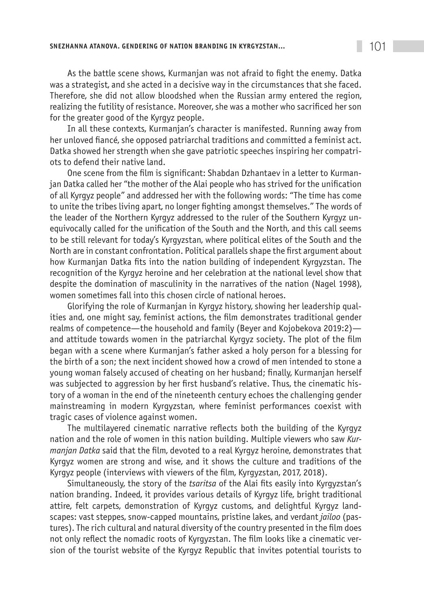As the battle scene shows, Kurmanjan was not afraid to fight the enemy. Datka was a strategist, and she acted in a decisive way in the circumstances that she faced. Therefore, she did not allow bloodshed when the Russian army entered the region, realizing the futility of resistance. Moreover, she was a mother who sacrificed her son for the greater good of the Kyrgyz people.

In all these contexts, Kurmanjan's character is manifested. Running away from her unloved fiancé, she opposed patriarchal traditions and committed a feminist act. Datka showed her strength when she gave patriotic speeches inspiring her compatriots to defend their native land.

One scene from the film is significant: Shabdan Dzhantaev in a letter to Kurmanjan Datka called her "the mother of the Alai people who has strived for the unification of all Kyrgyz people" and addressed her with the following words: "The time has come to unite the tribes living apart, no longer fighting amongst themselves." The words of the leader of the Northern Kyrgyz addressed to the ruler of the Southern Kyrgyz unequivocally called for the unification of the South and the North, and this call seems to be still relevant for today's Kyrgyzstan, where political elites of the South and the North are in constant confrontation. Political parallels shape the first argument about how Kurmanjan Datka fits into the nation building of independent Kyrgyzstan. The recognition of the Kyrgyz heroine and her celebration at the national level show that despite the domination of masculinity in the narratives of the nation (Nagel 1998), women sometimes fall into this chosen circle of national heroes.

Glorifying the role of Kurmanjan in Kyrgyz history, showing her leadership qualities and, one might say, feminist actions, the film demonstrates traditional gender realms of competence—the household and family (Beyer and Kojobekova 2019:2) and attitude towards women in the patriarchal Kyrgyz society. The plot of the film began with a scene where Kurmanjan's father asked a holy person for a blessing for the birth of a son; the next incident showed how a crowd of men intended to stone a young woman falsely accused of cheating on her husband; finally, Kurmanjan herself was subjected to aggression by her first husband's relative. Thus, the cinematic history of a woman in the end of the nineteenth century echoes the challenging gender mainstreaming in modern Kyrgyzstan, where feminist performances coexist with tragic cases of violence against women.

The multilayered cinematic narrative reflects both the building of the Kyrgyz nation and the role of women in this nation building. Multiple viewers who saw *Kurmanjan Datka* said that the film, devoted to a real Kyrgyz heroine, demonstrates that Kyrgyz women are strong and wise, and it shows the culture and traditions of the Kyrgyz people (interviews with viewers of the film, Kyrgyzstan, 2017, 2018).

Simultaneously, the story of the *tsaritsa* of the Alai fits easily into Kyrgyzstan's nation branding. Indeed, it provides various details of Kyrgyz life, bright traditional attire, felt carpets, demonstration of Kyrgyz customs, and delightful Kyrgyz landscapes: vast steppes, snow-capped mountains, pristine lakes, and verdant *jailoo* (pastures). The rich cultural and natural diversity of the country presented in the film does not only reflect the nomadic roots of Kyrgyzstan. The film looks like a cinematic version of the tourist website of the Kyrgyz Republic that invites potential tourists to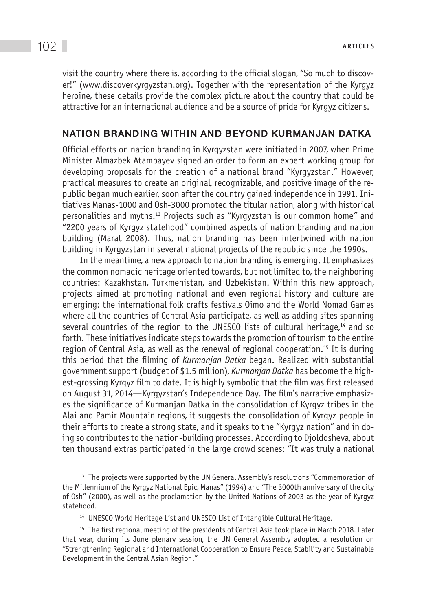visit the country where there is, according to the official slogan, "So much to discover!" (www.discoverkyrgyzstan.org). Together with the representation of the Kyrgyz heroine, these details provide the complex picture about the country that could be attractive for an international audience and be a source of pride for Kyrgyz citizens.

#### Nation branding within and beyond Kurmanjan Datka

Official efforts on nation branding in Kyrgyzstan were initiated in 2007, when Prime Minister Almazbek Atambayev signed an order to form an expert working group for developing proposals for the creation of a national brand "Kyrgyzstan." However, practical measures to create an original, recognizable, and positive image of the republic began much earlier, soon after the country gained independence in 1991. Initiatives Manas-1000 and Osh-3000 promoted the titular nation, along with historical personalities and myths.13 Projects such as "Kyrgyzstan is our common home" and "2200 years of Kyrgyz statehood" combined aspects of nation branding and nation building (Marat 2008). Thus, nation branding has been intertwined with nation building in Kyrgyzstan in several national projects of the republic since the 1990s.

In the meantime, a new approach to nation branding is emerging. It emphasizes the common nomadic heritage oriented towards, but not limited to, the neighboring countries: Kazakhstan, Turkmenistan, and Uzbekistan. Within this new approach, projects aimed at promoting national and even regional history and culture are emerging: the international folk crafts festivals Oimo and the World Nomad Games where all the countries of Central Asia participate, as well as adding sites spanning several countries of the region to the UNESCO lists of cultural heritage, $14$  and so forth. These initiatives indicate steps towards the promotion of tourism to the entire region of Central Asia, as well as the renewal of regional cooperation.15 It is during this period that the filming of *Kurmanjan Datka* began. Realized with substantial government support (budget of \$1.5 million), *Kurmanjan Datka* has become the highest-grossing Kyrgyz film to date. It is highly symbolic that the film was first released on August 31, 2014—Kyrgyzstan's Independence Day. The film's narrative emphasizes the significance of Kurmanjan Datka in the consolidation of Kyrgyz tribes in the Alai and Pamir Mountain regions, it suggests the consolidation of Kyrgyz people in their efforts to create a strong state, and it speaks to the "Kyrgyz nation" and in doing so contributes to the nation-building processes. According to Djoldosheva, about ten thousand extras participated in the large crowd scenes: "It was truly a national

<sup>14</sup> UNESCO World Heritage List and UNESCO List of Intangible Cultural Heritage.

<sup>&</sup>lt;sup>13</sup> The projects were supported by the UN General Assembly's resolutions "Commemoration of the Millennium of the Kyrgyz National Epic, Manas" (1994) and "The 3000th anniversary of the city of Osh" (2000), as well as the proclamation by the United Nations of 2003 as the year of Kyrgyz statehood.

<sup>&</sup>lt;sup>15</sup> The first regional meeting of the presidents of Central Asia took place in March 2018. Later that year, during its June plenary session, the UN General Assembly adopted a resolution on "Strengthening Regional and International Cooperation to Ensure Peace, Stability and Sustainable Development in the Central Asian Region."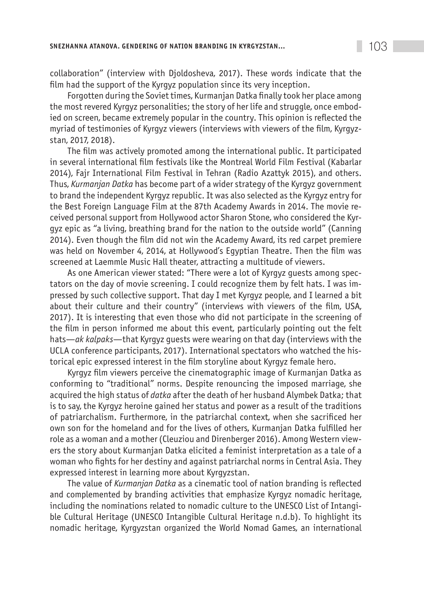collaboration" (interview with Djoldosheva, 2017). These words indicate that the film had the support of the Kyrgyz population since its very inception.

Forgotten during the Soviet times, Kurmanjan Datka finally took her place among the most revered Kyrgyz personalities; the story of her life and struggle, once embodied on screen, became extremely popular in the country. This opinion is reflected the myriad of testimonies of Kyrgyz viewers (interviews with viewers of the film, Kyrgyzstan, 2017, 2018).

The film was actively promoted among the international public. It participated in several international film festivals like the Montreal World Film Festival (Kabarlar 2014), Fajr International Film Festival in Tehran (Radio Azattyk 2015), and others. Thus, *Kurmanjan Datka* has become part of a wider strategy of the Kyrgyz government to brand the independent Kyrgyz republic. It was also selected as the Kyrgyz entry for the Best Foreign Language Film at the 87th Academy Awards in 2014. The movie received personal support from Hollywood actor Sharon Stone, who considered the Kyrgyz epic as "a living, breathing brand for the nation to the outside world" (Canning 2014). Even though the film did not win the Academy Award, its red carpet premiere was held on November 4, 2014, at Hollywood's Egyptian Theatre. Then the film was screened at Laemmle Music Hall theater, attracting a multitude of viewers.

As one American viewer stated: "There were a lot of Kyrgyz guests among spectators on the day of movie screening. I could recognize them by felt hats. I was impressed by such collective support. That day I met Kyrgyz people, and I learned a bit about their culture and their country" (interviews with viewers of the film, USA, 2017). It is interesting that even those who did not participate in the screening of the film in person informed me about this event, particularly pointing out the felt hats—*ak kalpaks*—that Kyrgyz guests were wearing on that day (interviews with the UCLA conference participants, 2017). International spectators who watched the historical epic expressed interest in the film storyline about Kyrgyz female hero.

Kyrgyz film viewers perceive the cinematographic image of Kurmanjan Datka as conforming to "traditional" norms. Despite renouncing the imposed marriage, she acquired the high status of *datka* after the death of her husband Alymbek Datka; that is to say, the Kyrgyz heroine gained her status and power as a result of the traditions of patriarchalism. Furthermore, in the patriarchal context, when she sacrificed her own son for the homeland and for the lives of others, Kurmanjan Datka fulfilled her role as a woman and a mother (Cleuziou and Direnberger 2016). Among Western viewers the story about Kurmanjan Datka elicited a feminist interpretation as a tale of a woman who fights for her destiny and against patriarchal norms in Central Asia. They expressed interest in learning more about Kyrgyzstan.

The value of *Kurmanjan Datka* as a cinematic tool of nation branding is reflected and complemented by branding activities that emphasize Kyrgyz nomadic heritage, including the nominations related to nomadic culture to the UNESCO List of Intangible Cultural Heritage (UNESCO Intangible Cultural Heritage n.d.b). To highlight its nomadic heritage, Kyrgyzstan organized the World Nomad Games, an international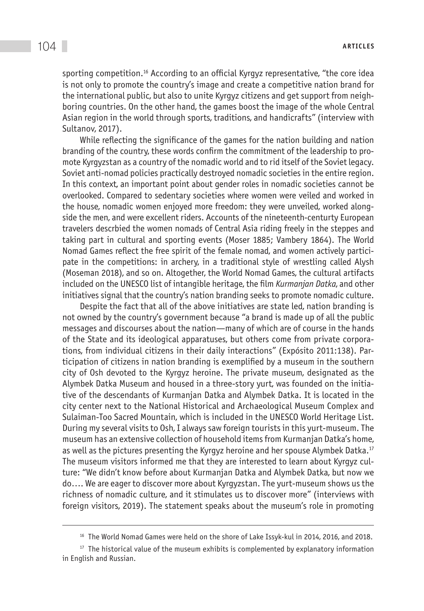sporting competition.<sup>16</sup> According to an official Kyrgyz representative, "the core idea is not only to promote the country's image and create a competitive nation brand for the international public, but also to unite Kyrgyz citizens and get support from neighboring countries. On the other hand, the games boost the image of the whole Central Asian region in the world through sports, traditions, and handicrafts" (interview with Sultanov, 2017).

While reflecting the significance of the games for the nation building and nation branding of the country, these words confirm the commitment of the leadership to promote Kyrgyzstan as a country of the nomadic world and to rid itself of the Soviet legacy. Soviet anti-nomad policies practically destroyed nomadic societies in the entire region. In this context, an important point about gender roles in nomadic societies cannot be overlooked. Compared to sedentary societies where women were veiled and worked in the house, nomadic women enjoyed more freedom: they were unveiled, worked alongside the men, and were excellent riders. Accounts of the nineteenth-centurty European travelers descrbied the women nomads of Central Asia riding freely in the steppes and taking part in cultural and sporting events (Moser 1885; Vambery 1864). The World Nomad Games reflect the free spirit of the female nomad, and women actively participate in the competitions: in archery, in a traditional style of wrestling called Alysh (Moseman 2018), and so on. Altogether, the World Nomad Games, the cultural artifacts included on the UNESCO list of intangible heritage, the film *Kurmanjan Datka*, and other initiatives signal that the country's nation branding seeks to promote nomadic culture.

Despite the fact that all of the above initiatives are state led, nation branding is not owned by the country's government because "a brand is made up of all the public messages and discourses about the nation—many of which are of course in the hands of the State and its ideological apparatuses, but others come from private corporations, from individual citizens in their daily interactions" (Expósito 2011:138). Participation of citizens in nation branding is exemplified by a museum in the southern city of Osh devoted to the Kyrgyz heroine. The private museum, designated as the Alymbek Datka Museum and housed in a three-story yurt, was founded on the initiative of the descendants of Kurmanjan Datka and Alymbek Datka. It is located in the city center next to the National Historical and Archaeological Museum Complex and Sulaiman-Too Sacred Mountain, which is included in the UNESCO World Heritage List. During my several visits to Osh, I always saw foreign tourists in this yurt-museum. The museum has an extensive collection of household items from Kurmanjan Datka's home, as well as the pictures presenting the Kyrgyz heroine and her spouse Alymbek Datka.17 The museum visitors informed me that they are interested to learn about Kyrgyz culture: "We didn't know before about Kurmanjan Datka and Alymbek Datka, but now we do…. We are eager to discover more about Kyrgyzstan. The yurt-museum shows us the richness of nomadic culture, and it stimulates us to discover more" (interviews with foreign visitors, 2019). The statement speaks about the museum's role in promoting

<sup>&</sup>lt;sup>16</sup> The World Nomad Games were held on the shore of Lake Issyk-kul in 2014, 2016, and 2018.

 $17$  The historical value of the museum exhibits is complemented by explanatory information in English and Russian.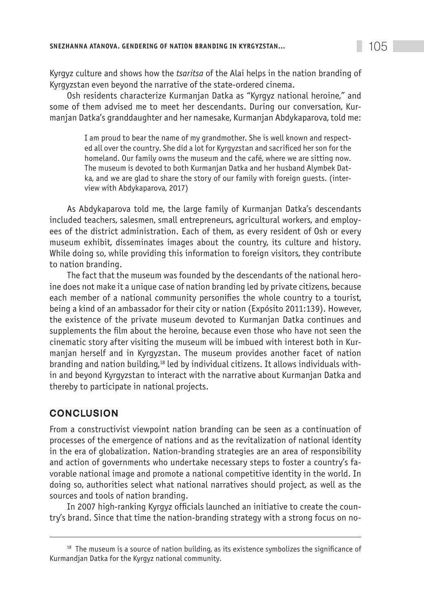Kyrgyz culture and shows how the *tsaritsa* of the Alai helps in the nation branding of Kyrgyzstan even beyond the narrative of the state-ordered cinema.

Osh residents characterize Kurmanjan Datka as "Kyrgyz national heroine," and some of them advised me to meet her descendants. During our conversation, Kurmanjan Datka's granddaughter and her namesake, Kurmanjan Abdykaparova, told me:

> I am proud to bear the name of my grandmother. She is well known and respected all over the country. She did a lot for Kyrgyzstan and sacrificed her son for the homeland. Our family owns the museum and the café, where we are sitting now. The museum is devoted to both Kurmanjan Datka and her husband Alymbek Datka, and we are glad to share the story of our family with foreign guests. (interview with Abdykaparova, 2017)

As Abdykaparova told me, the large family of Kurmanjan Datka's descendants included teachers, salesmen, small entrepreneurs, agricultural workers, and employees of the district administration. Each of them, as every resident of Osh or every museum exhibit, disseminates images about the country, its culture and history. While doing so, while providing this information to foreign visitors, they contribute to nation branding.

The fact that the museum was founded by the descendants of the national heroine does not make it a unique case of nation branding led by private citizens, because each member of a national community personifies the whole country to a tourist, being a kind of an ambassador for their city or nation (Expósito 2011:139). However, the existence of the private museum devoted to Kurmanjan Datka continues and supplements the film about the heroine, because even those who have not seen the cinematic story after visiting the museum will be imbued with interest both in Kurmanjan herself and in Kyrgyzstan. The museum provides another facet of nation branding and nation building,18 led by individual citizens. It allows individuals within and beyond Kyrgyzstan to interact with the narrative about Kurmanjan Datka and thereby to participate in national projects.

## **CONCLUSION**

From a constructivist viewpoint nation branding can be seen as a continuation of processes of the emergence of nations and as the revitalization of national identity in the era of globalization. Nation-branding strategies are an area of responsibility and action of governments who undertake necessary steps to foster a country's favorable national image and promote a national competitive identity in the world. In doing so, authorities select what national narratives should project, as well as the sources and tools of nation branding.

In 2007 high-ranking Kyrgyz officials launched an initiative to create the country's brand. Since that time the nation-branding strategy with a strong focus on no-

<sup>&</sup>lt;sup>18</sup> The museum is a source of nation building, as its existence symbolizes the significance of Kurmandjan Datka for the Kyrgyz national community.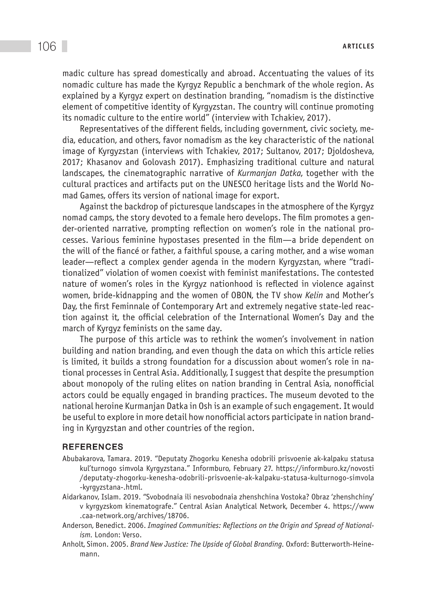madic culture has spread domestically and abroad. Accentuating the values of its nomadic culture has made the Kyrgyz Republic a benchmark of the whole region. As explained by a Kyrgyz expert on destination branding, "nomadism is the distinctive element of competitive identity of Kyrgyzstan. The country will continue promoting its nomadic culture to the entire world" (interview with Tchakiev, 2017).

Representatives of the different fields, including government, civic society, media, education, and others, favor nomadism as the key characteristic of the national image of Kyrgyzstan (interviews with Tchakiev, 2017; Sultanov, 2017; Djoldosheva, 2017; Khasanov and Golovash 2017). Emphasizing traditional culture and natural landscapes, the cinematographic narrative of *Kurmanjan Datka*, together with the cultural practices and artifacts put on the UNESCO heritage lists and the World Nomad Games, offers its version of national image for export.

Against the backdrop of picturesque landscapes in the atmosphere of the Kyrgyz nomad camps, the story devoted to a female hero develops. The film promotes a gender-oriented narrative, prompting reflection on women's role in the national processes. Various feminine hypostases presented in the film—a bride dependent on the will of the fiancé or father, a faithful spouse, a caring mother, and a wise woman leader—reflect a complex gender agenda in the modern Kyrgyzstan, where "traditionalized" violation of women coexist with feminist manifestations. The contested nature of women's roles in the Kyrgyz nationhood is reflected in violence against women, bride-kidnapping and the women of OBON, the TV show *Kelin* and Mother's Day, the first Feminnale of Contemporary Art and extremely negative state-led reaction against it, the official celebration of the International Women's Day and the march of Kyrgyz feminists on the same day.

The purpose of this article was to rethink the women's involvement in nation building and nation branding, and even though the data on which this article relies is limited, it builds a strong foundation for a discussion about women's role in national processes in Central Asia. Additionally, I suggest that despite the presumption about monopoly of the ruling elites on nation branding in Central Asia, nonofficial actors could be equally engaged in branding practices. The museum devoted to the national heroine Kurmanjan Datka in Osh is an example of such engagement. It would be useful to explore in more detail how nonofficial actors participate in nation branding in Kyrgyzstan and other countries of the region.

#### **REFERENCES**

- Abubakarova, Tamara. 2019. "Deputaty Zhogorku Kenesha odobrili prisvoenie ak-kalpaku statusa kul'turnogo simvola Kyrgyzstana." Informburo, February 27. https://informburo.kz/novosti /deputaty-zhogorku-kenesha-odobrili-prisvoenie-ak-kalpaku-statusa-kulturnogo-simvola -kyrgyzstana-.html.
- Aidarkanov, Islam. 2019. "Svobodnaia ili nesvobodnaia zhenshchina Vostoka? Obraz 'zhenshchiny' v kyrgyzskom kinematografe." Central Asian Analytical Network, December 4. https://www .caa-network.org/archives/18706.
- Anderson, Benedict. 2006. *Imagined Communities: Reflections on the Origin and Spread of Nationalism.* London: Verso.
- Anholt, Simon. 2005. *Brand New Justice: The Upside of Global Branding.* Oxford: Butterworth-Heinemann.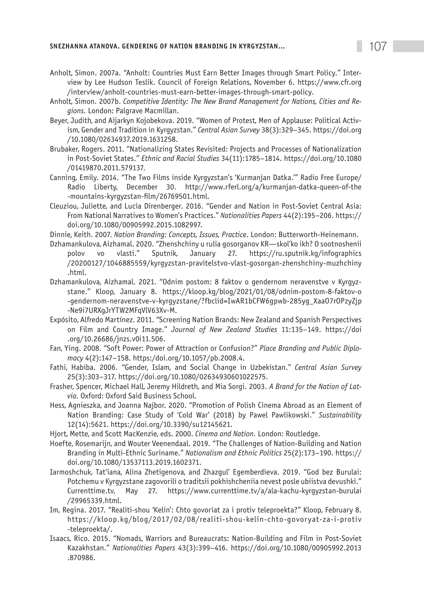- Anholt, Simon. 2007a. "Anholt: Countries Must Earn Better Images through Smart Policy." Interview by Lee Hudson Teslik. Council of Foreign Relations, November 6. https://www.cfr.org /interview/anholt-countries-must-earn-better-images-through-smart-policy.
- Anholt, Simon. 2007b. *Competitive Identity: The New Brand Management for Nations, Cities and Regions.* London: Palgrave Macmillan.
- Beyer, Judith, and Aijarkyn Kojobekova. 2019. "Women of Protest, Men of Applause: Political Activism, Gender and Tradition in Kyrgyzstan." *Central Asian Survey* 38(3):329–345. https://doi.org /10.1080/02634937.2019.1631258.
- Brubaker, Rogers. 2011. "Nationalizing States Revisited: Projects and Processes of Nationalization in Post-Soviet States." *Ethnic and Racial Studies* 34(11):1785–1814. https://doi.org/10.1080 /01419870.2011.579137.
- Canning, Emily. 2014. "The Two Films inside Kyrgyzstan's 'Kurmanjan Datka.'" Radio Free Europe/ Radio Liberty, December 30. http://www.rferl.org/a/kurmanjan-datka-queen-of-the -mountains-kyrgyzstan-film/26769501.html.
- Cleuziou, Juliette, and Lucia Direnberger. 2016. "Gender and Nation in Post-Soviet Central Asia: From National Narratives to Women's Practices." *Nationalities Papers* 44(2):195–206. https:// doi.org/10.1080/00905992.2015.1082997.
- Dinnie, Keith. 2007. *Nation Branding: Concepts, Issues, Practice*. London: Butterworth-Heinemann.
- Dzhamankulova, Aizhamal. 2020. "Zhenshchiny u rulia gosorganov KR—skol'ko ikh? O sootnoshenii polov vo vlasti." Sputnik, January 27. https://ru.sputnik.kg/infographics /20200127/1046885559/kyrgyzstan-pravitelstvo-vlast-gosorgan-zhenshchiny-muzhchiny .html.
- Dzhamankulova, Aizhamal. 2021. "Odnim postom: 8 faktov o gendernom neravenstve v Kyrgyzstane." Kloop, January 8. https://kloop.kg/blog/2021/01/08/odnim-postom-8-faktov-o -gendernom-neravenstve-v-kyrgyzstane/?fbclid=IwAR1bCFW6gpwb-285yg\_XaaO7rOPzyZjp -Ne9i7URXgJrYTW2MFqVlV63Xv-M.
- Expósito, Alfredo Martínez. 2011. "Screening Nation Brands: New Zealand and Spanish Perspectives on Film and Country Image." *Journal of New Zealand Studies* 11:135–149. https://doi .org/10.26686/jnzs.v0i11.506.
- Fan, Ying. 2008. "Soft Power: Power of Attraction or Confusion?" *Place Branding and Public Diplomacy* 4(2):147–158. https:/doi.org/10.1057/pb.2008.4.
- Fathi, Habiba. 2006. "Gender, Islam, and Social Change in Uzbekistan." *Central Asian Survey* 25(3):303–317. https://doi.org/10.1080/02634930601022575.
- Frasher, Spencer, Michael Hall, Jeremy Hildreth, and Mia Sorgi. 2003. *A Brand for the Nation of Latvia.* Oxford: Oxford Said Business School.
- Hess, Agnieszka, and Joanna Najbor. 2020. "Promotion of Polish Cinema Abroad as an Element of Nation Branding: Case Study of 'Cold War' (2018) by Pawel Pawlikowski." *Sustainability* 12(14):5621. https://doi.org/10.3390/su12145621.
- Hjort, Mette, and Scott MacKenzie, eds. 2000. *Cinema and Nation.* London: Routledge.
- Hoefte, Rosemarijn, and Wouter Veenendaal. 2019. "The Challenges of Nation-Building and Nation Branding in Multi-Ethnic Suriname." *Nationalism and Ethnic Politics* 25(2):173–190. https:// doi.org/10.1080/13537113.2019.1602371.
- Iarmoshchuk, Tat'iana, Alina Zhetigenova, and Zhazgul' Egemberdieva. 2019. "God bez Burulai: Potchemu v Kyrgyzstane zagovorili o traditsii pokhishcheniia nevest posle ubiistva devushki." Currenttime.tv, May 27. https://www.currenttime.tv/a/ala-kachu-kyrgyzstan-burulai /29965339.html.
- Im, Regina. 2017. "Realiti-shou 'Kelin': Chto govoriat za i protiv teleproekta?" Kloop, February 8. https://kloop.kg/blog/2017/02/08/realiti-shou-kelin-chto-govoryat-za-i-protiv -teleproekta/.
- Isaacs, Rico. 2015. "Nomads, Warriors and Bureaucrats: Nation-Building and Film in Post-Soviet Kazakhstan." *Nationalities Papers* 43(3):399–416. https://doi.org/10.1080/00905992.2013 .870986.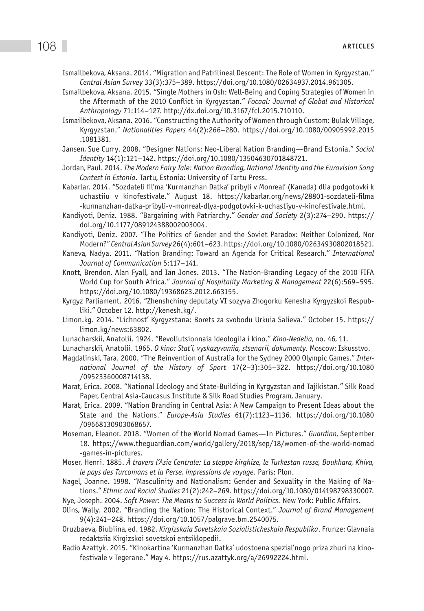- Ismailbekova, Aksana. 2014. "Migration and Patrilineal Descent: The Role of Women in Kyrgyzstan." *Central Asian Survey* 33(3):375–389. https://doi.org/10.1080/02634937.2014.961305.
- Ismailbekova, Aksana. 2015. "Single Mothers in Osh: Well-Being and Coping Strategies of Women in the Aftermath of the 2010 Conflict in Kyrgyzstan." *Focaal: Journal of Global and Historical Anthropology* 71:114–127. http://dx.doi.org/10.3167/fcl.2015.710110.
- Ismailbekova, Aksana. 2016. "Constructing the Authority of Women through Custom: Bulak Village, Kyrgyzstan." *Nationalities Papers* 44(2):266–280. https://doi.org/10.1080/00905992.2015 .1081381.
- Jansen, Sue Curry. 2008. "Designer Nations: Neo-Liberal Nation Branding—Brand Estonia." *Social Identity* 14(1):121–142. https://doi.org/10.1080/13504630701848721.
- Jordan, Paul. 2014. *The Modern Fairy Tale: Nation Branding, National Identity and the Eurovision Song Contest in Estonia*. Tartu, Estonia: University of Tartu Press.
- Kabarlar. 2014. "Sozdateli fil'ma 'Kurmanzhan Datka' pribyli v Monreal' (Kanada) dlia podgotovki k uchastiiu v kinofestivale." August 18. https://kabarlar.org/news/28801-sozdateli-filma -kurmanzhan-datka-pribyli-v-monreal-dlya-podgotovki-k-uchastiyu-v-kinofestivale.html.
- Kandiyoti, Deniz. 1988. "Bargaining with Patriarchy." *Gender and Society* 2(3):274–290. https:// doi.org/10.1177/089124388002003004.
- Kandiyoti, Deniz. 2007. "The Politics of Gender and the Soviet Paradox: Neither Colonized, Nor Modern?" *Central Asian Survey* 26(4):601–623. https://doi.org/10.1080/02634930802018521.
- Kaneva, Nadya. 2011. "Nation Branding: Toward an Agenda for Critical Research." *International Journal of Communication* 5:117–141.
- Knott, Brendon, Alan Fyall, and Ian Jones. 2013. "The Nation-Branding Legacy of the 2010 FIFA World Cup for South Africa." *Journal of Hospitality Marketing & Management* 22(6):569–595. https://doi.org/10.1080/19368623.2012.663155.
- Kyrgyz Parliament. 2016. "Zhenshchiny deputaty VI sozyva Zhogorku Kenesha Kyrgyzskoi Respubliki." October 12. http://kenesh.kg/.
- Limon.kg. 2014. "Lichnost' Kyrgyzstana: Borets za svobodu Urkuia Salieva." October 15. https:// limon.kg/news:63802.
- Lunacharskii, Anatolii. 1924. "Revoliutsionnaia ideologiia i kino." *Kino-Nedelia*, no. 46, 11.
- Lunacharskii, Anatolii. 1965. *O kino: Stat'i, vyskazyvaniia, stsenarii, dokumenty.* Moscow: Iskusstvo.
- Magdalinski, Tara. 2000. "The Reinvention of Australia for the Sydney 2000 Olympic Games." *International Journal of the History of Sport* 17(2–3):305–322. https://doi.org/10.1080 /09523360008714138.
- Marat, Erica. 2008. "National Ideology and State-Building in Kyrgyzstan and Tajikistan." Silk Road Paper, Central Asia-Caucasus Institute & Silk Road Studies Program, January.
- Marat, Erica. 2009. "Nation Branding in Central Asia: A New Campaign to Present Ideas about the State and the Nations." *Europe-Asia Studies* 61(7):1123–1136. https://doi.org/10.1080 /09668130903068657.
- Moseman, Eleanor. 2018. "Women of the World Nomad Games—In Pictures." *Guardian*, September 18. https://www.theguardian.com/world/gallery/2018/sep/18/women-of-the-world-nomad -games-in-pictures.
- Moser, Henri. 1885. *À travers l'Asie Centrale: La steppe kirghize, le Turkestan russe, Boukhara, Khiva, le pays des Turcomans et la Perse, impressions de voyage.* Paris: Plon.
- Nagel, Joanne. 1998. "Masculinity and Nationalism: Gender and Sexuality in the Making of Nations." *Ethnic and Racial Studies* 21(2):242–269. https://doi.org/10.1080/014198798330007.
- Nye, Joseph. 2004. *Soft Power: The Means to Success in World Politics.* New York: Public Affairs.
- Olins, Wally. 2002. "Branding the Nation: The Historical Context." *Journal of Brand Management*  9(4):241–248. https://doi.org/10.1057/palgrave.bm.2540075.
- Oruzbaeva, Biubiina, ed. 1982. *Kirgizskaia Sovetskaia Sozialisticheskaia Respublika*. Frunze: Glavnaia redaktsiia Kirgizskoi sovetskoi entsiklopedii.
- Radio Azattyk. 2015. "Kinokartina 'Kurmanzhan Datka' udostoena spezial'nogo priza zhuri na kinofestivale v Tegerane." May 4. https://rus.azattyk.org/a/26992224.html.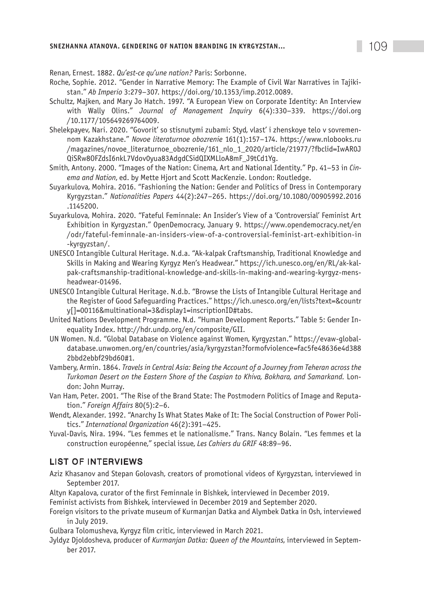# **SNEZHANNA ATANOVA. GENDERING OF NATION BRANDING IN KYRGYZSTAN… 109 109**

Renan, Ernest. 1882. *Qu'est-ce qu'une nation?* Paris: Sorbonne.

- Roche, Sophie. 2012. "Gender in Narrative Memory: The Example of Civil War Narratives in Tajikistan." *Ab Imperio* 3:279–307. https://doi.org/10.1353/imp.2012.0089.
- Schultz, Majken, and Mary Jo Hatch. 1997. "A European View on Corporate Identity: An Interview with Wally Olins." *Journal of Management Inquiry* 6(4):330–339. https://doi.org /10.1177/105649269764009.
- Shelekpayev, Nari. 2020. "Govorit' so stisnutymi zubami: Styd, vlast' i zhenskoye telo v sovremennom Kazakhstane." *Novoe literaturnoe obozrenie* 161(1):157–174. https://www.nlobooks.ru /magazines/novoe\_literaturnoe\_obozrenie/161\_nlo\_1\_2020/article/21977/?fbclid=IwAR0J QiSRw8OFZdsI6nkL7Vdov0yua83AdgdCSidQIXMLloA8mF\_J9tCd1Yg.
- Smith, Antony. 2000. "Images of the Nation: Cinema, Art and National Identity." Pp. 41–53 in *Cinema and Nation*, ed. by Mette Hjort and Scott MacKenzie. London: Routledge.
- Suyarkulova, Mohira. 2016. "Fashioning the Nation: Gender and Politics of Dress in Contemporary Kyrgyzstan." *Nationalities Papers* 44(2):247–265. https://doi.org/10.1080/00905992.2016 .1145200.
- Suyarkulova, Mohira. 2020. "Fateful Feminnale: An Insider's View of a 'Controversial' Feminist Art Exhibition in Kyrgyzstan." OpenDemocracy, January 9. https://www.opendemocracy.net/en /odr/fateful-feminnale-an-insiders-view-of-a-controversial-feminist-art-exhibition-in -kyrgyzstan/.
- UNESCO Intangible Cultural Heritage. N.d.a. "Ak-kalpak Craftsmanship, Traditional Knowledge and Skills in Making and Wearing Kyrgyz Men's Headwear." https://ich.unesco.org/en/RL/ak-kalpak-craftsmanship-traditional-knowledge-and-skills-in-making-and-wearing-kyrgyz-mensheadwear-01496.
- UNESCO Intangible Cultural Heritage. N.d.b. "Browse the Lists of Intangible Cultural Heritage and the Register of Good Safeguarding Practices." https://ich.unesco.org/en/lists?text=&countr y[]=00116&multinational=3&display1=inscriptionID#tabs.
- United Nations Development Programme. N.d. "Human Development Reports." Table 5: Gender Inequality Index. http://hdr.undp.org/en/composite/GII.
- UN Women. N.d. "Global Database on Violence against Women, Kyrgyzstan." https://evaw-globaldatabase.unwomen.org/en/countries/asia/kyrgyzstan?formofviolence=fac5fe48636e4d388 2bbd2ebbf29bd60#1.
- Vambery, Armin. 1864. *Travels in Central Asia: Being the Account of a Journey from Teheran across the Turkoman Desert on the Eastern Shore of the Caspian to Khiva, Bokhara, and Samarkand.* London: John Murray.
- Van Ham, Peter. 2001. "The Rise of the Brand State: The Postmodern Politics of Image and Reputation." *Foreign Affairs* 80(5):2–6.
- Wendt, Alexander. 1992. "Anarchy Is What States Make of It: The Social Construction of Power Politics." *International Organization* 46(2):391–425.
- Yuval-Davis, Nira. 1994. "Les femmes et le nationalisme." Trans. Nancy Bolain. "Les femmes et la construction européenne," special issue, *Les Cahiers du GRIF* 48:89–96.

#### List of interviews

Aziz Khasanov and Stepan Golovash, creators of promotional videos of Kyrgyzstan, interviewed in September 2017.

Altyn Kapalova, curator of the first Feminnale in Bishkek, interviewed in December 2019.

Feminist activists from Bishkek, interviewed in December 2019 and September 2020.

- Foreign visitors to the private museum of Kurmanjan Datka and Alymbek Datka in Osh, interviewed in July 2019.
- Gulbara Tolomusheva, Kyrgyz film critic, interviewed in March 2021.
- Jyldyz Djoldosheva, producer of *Kurmanjan Datka: Queen of the Mountains*, interviewed in September 2017.